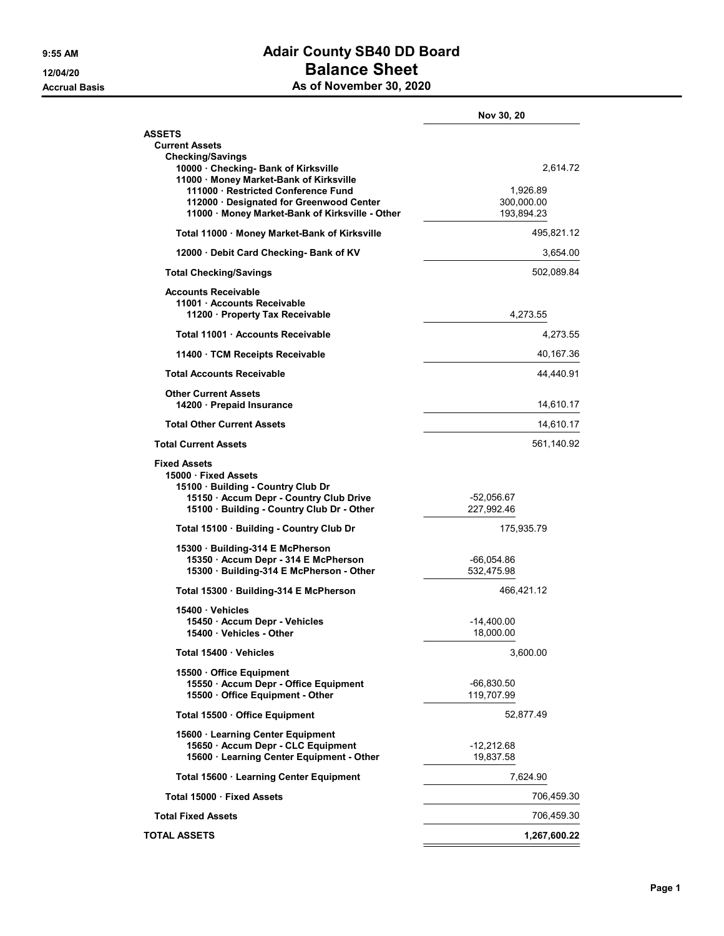## 9:55 AM **Adair County SB40 DD Board** 12/04/20 Balance Sheet As of November 30, 2020

|                                                                                                                                                                | Nov 30, 20                         |
|----------------------------------------------------------------------------------------------------------------------------------------------------------------|------------------------------------|
| <b>ASSETS</b><br><b>Current Assets</b><br><b>Checking/Savings</b>                                                                                              |                                    |
| 10000 Checking- Bank of Kirksville<br>11000 · Money Market-Bank of Kirksville<br>111000 Restricted Conference Fund<br>112000 · Designated for Greenwood Center | 2,614.72<br>1,926.89<br>300,000.00 |
| 11000 · Money Market-Bank of Kirksville - Other                                                                                                                | 193,894.23                         |
| Total 11000 · Money Market-Bank of Kirksville                                                                                                                  | 495,821.12                         |
| 12000 Debit Card Checking- Bank of KV                                                                                                                          | 3,654.00                           |
| <b>Total Checking/Savings</b>                                                                                                                                  | 502,089.84                         |
| <b>Accounts Receivable</b><br>11001 Accounts Receivable<br>11200 Property Tax Receivable                                                                       | 4,273.55                           |
| Total 11001 Accounts Receivable                                                                                                                                | 4,273.55                           |
| 11400 · TCM Receipts Receivable                                                                                                                                | 40,167.36                          |
| <b>Total Accounts Receivable</b>                                                                                                                               | 44,440.91                          |
| <b>Other Current Assets</b><br>14200 Prepaid Insurance                                                                                                         | 14,610.17                          |
| <b>Total Other Current Assets</b>                                                                                                                              | 14,610.17                          |
| <b>Total Current Assets</b>                                                                                                                                    | 561,140.92                         |
| <b>Fixed Assets</b><br>15000 Fixed Assets<br>15100 Building - Country Club Dr<br>15150 - Accum Depr - Country Club Drive                                       | -52,056.67                         |
| 15100 · Building - Country Club Dr - Other<br>Total 15100 · Building - Country Club Dr                                                                         | 227,992.46<br>175,935.79           |
| 15300 Building-314 E McPherson                                                                                                                                 |                                    |
| 15350 · Accum Depr - 314 E McPherson<br>15300 · Building-314 E McPherson - Other                                                                               | -66,054.86<br>532,475.98           |
| Total 15300 · Building-314 E McPherson                                                                                                                         | 466.421.12                         |
| 15400 Vehicles<br>15450 Accum Depr - Vehicles<br>15400 Vehicles - Other                                                                                        | -14,400.00<br>18,000.00            |
| Total 15400 Vehicles                                                                                                                                           | 3,600.00                           |
| 15500 Office Equipment<br>15550 · Accum Depr - Office Equipment<br>15500 Office Equipment - Other                                                              | $-66,830.50$<br>119,707.99         |
| Total 15500 Office Equipment                                                                                                                                   | 52,877.49                          |
| 15600 Learning Center Equipment<br>15650 · Accum Depr - CLC Equipment<br>15600 · Learning Center Equipment - Other                                             | -12,212.68<br>19,837.58            |
| Total 15600 · Learning Center Equipment                                                                                                                        | 7,624.90                           |
| Total 15000 · Fixed Assets                                                                                                                                     | 706,459.30                         |
| <b>Total Fixed Assets</b>                                                                                                                                      | 706,459.30                         |
| <b>TOTAL ASSETS</b>                                                                                                                                            | 1,267,600.22                       |